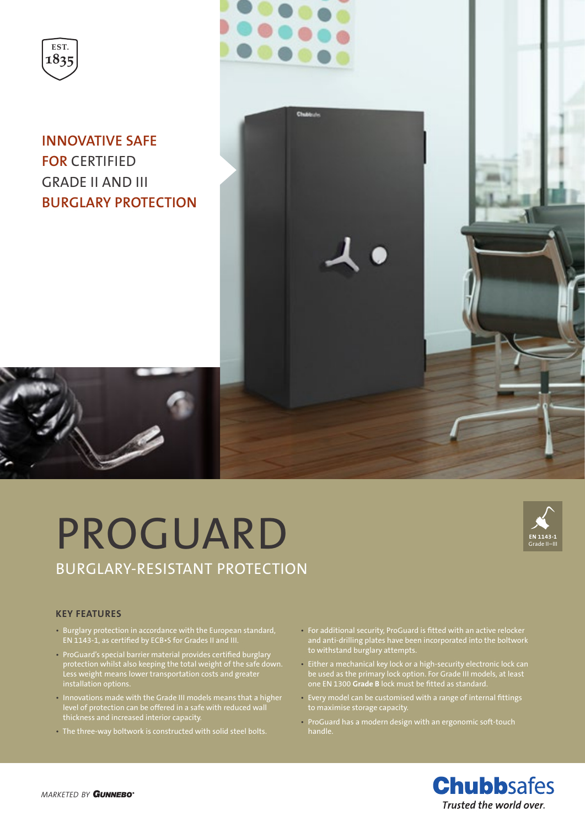

**INNOVATIVE SAFE FOR** CERTIFIED GRADE II AND III **BURGLARY PROTECTION**







#### **KEY FEATURES**

- Burglary protection in accordance with the European standard, EN 1143-1, as certified by ECB•S for Grades II and III.
- ProGuard's special barrier material provides certified burglary protection whilst also keeping the total weight of the safe down. Less weight means lower transportation costs and greater installation options.
- Innovations made with the Grade III models means that a higher level of protection can be offered in a safe with reduced wall thickness and increased interior capacity.
- The three-way boltwork is constructed with solid steel bolts.
- For additional security, ProGuard is fitted with an active relocker and anti-drilling plates have been incorporated into the boltwork to withstand burglary attempts.
- Either a mechanical key lock or a high-security electronic lock can be used as the primary lock option. For Grade III models, at least one EN 1300 **Grade B** lock must be fitted as standard.
- Every model can be customised with a range of internal fittings to maximise storage capacity.
- ProGuard has a modern design with an ergonomic soft-touch handle.